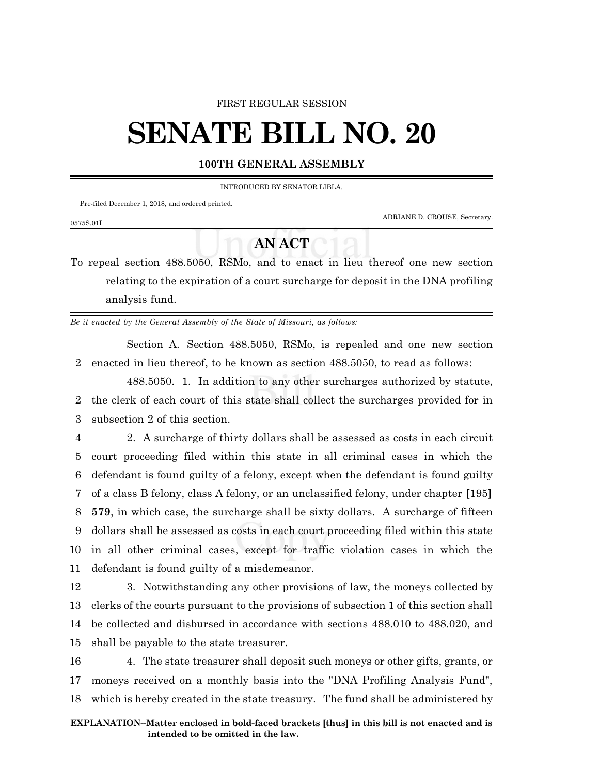#### FIRST REGULAR SESSION

# **SENATE BILL NO. 20**

### **100TH GENERAL ASSEMBLY**

INTRODUCED BY SENATOR LIBLA.

Pre-filed December 1, 2018, and ordered printed.

0575S.01I

ADRIANE D. CROUSE, Secretary.

## **AN ACT**

To repeal section 488.5050, RSMo, and to enact in lieu thereof one new section relating to the expiration of a court surcharge for deposit in the DNA profiling analysis fund.

*Be it enacted by the General Assembly of the State of Missouri, as follows:*

Section A. Section 488.5050, RSMo, is repealed and one new section 2 enacted in lieu thereof, to be known as section 488.5050, to read as follows:

488.5050. 1. In addition to any other surcharges authorized by statute, 2 the clerk of each court of this state shall collect the surcharges provided for in 3 subsection 2 of this section.

 2. A surcharge of thirty dollars shall be assessed as costs in each circuit court proceeding filed within this state in all criminal cases in which the defendant is found guilty of a felony, except when the defendant is found guilty of a class B felony, class A felony, or an unclassified felony, under chapter **[**195**] 579**, in which case, the surcharge shall be sixty dollars. A surcharge of fifteen dollars shall be assessed as costs in each court proceeding filed within this state in all other criminal cases, except for traffic violation cases in which the defendant is found guilty of a misdemeanor.

 3. Notwithstanding any other provisions of law, the moneys collected by clerks of the courts pursuant to the provisions of subsection 1 of this section shall be collected and disbursed in accordance with sections 488.010 to 488.020, and shall be payable to the state treasurer.

16 4. The state treasurer shall deposit such moneys or other gifts, grants, or 17 moneys received on a monthly basis into the "DNA Profiling Analysis Fund", 18 which is hereby created in the state treasury. The fund shall be administered by